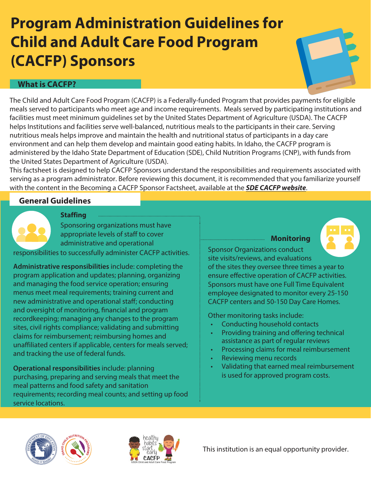# **Program Administration Guidelines for Child and Adult Care Food Program (CACFP) Sponsors**

# **What is CACFP?**

The Child and Adult Care Food Program (CACFP) is a Federally-funded Program that provides payments for eligible meals served to participants who meet age and income requirements. Meals served by participating institutions and facilities must meet minimum guidelines set by the United States Department of Agriculture (USDA). The CACFP helps Institutions and facilities serve well-balanced, nutritious meals to the participants in their care. Serving nutritious meals helps improve and maintain the health and nutritional status of participants in a day care environment and can help them develop and maintain good eating habits. In Idaho, the CACFP program is administered by the Idaho State Department of Education (SDE), Child Nutrition Programs (CNP), with funds from the United States Department of Agriculture (USDA).

This factsheet is designed to help CACFP Sponsors understand the responsibilities and requirements associated with serving as a program administrator. Before reviewing this document, it is recommended that you familiarize yourself with the content in the Becoming a CACFP Sponsor Factsheet, available at the **[SDE CACFP website](https://www.sde.idaho.gov/cnp/cacfp/)**.

# **General Guidelines**



**Staffing**

Sponsoring organizations must have appropriate levels of staff to cover administrative and operational

responsibilities to successfully administer CACFP activities.

**Administrative responsibilities** include: completing the program application and updates; planning, organizing and managing the food service operation; ensuring menus meet meal requirements; training current and new administrative and operational staf; conducting and oversight of monitoring, fnancial and program recordkeeping; managing any changes to the program sites, civil rights compliance; validating and submitting claims for reimbursement; reimbursing homes and unaffiliated centers if applicable, centers for meals served; and tracking the use of federal funds.

**Operational responsibilities** include: planning purchasing, preparing and serving meals that meet the meal patterns and food safety and sanitation requirements; recording meal counts; and setting up food service locations.

**Monitoring**



Sponsor Organizations conduct site visits/reviews, and evaluations

of the sites they oversee three times a year to ensure efective operation of CACFP activities. Sponsors must have one Full Time Equivalent employee designated to monitor every 25-150 CACFP centers and 50-150 Day Care Homes.

Other monitoring tasks include:

- Conducting household contacts
- Providing training and offering technical assistance as part of regular reviews
- Processing claims for meal reimbursement
- Reviewing menu records
- Validating that earned meal reimbursement is used for approved program costs.